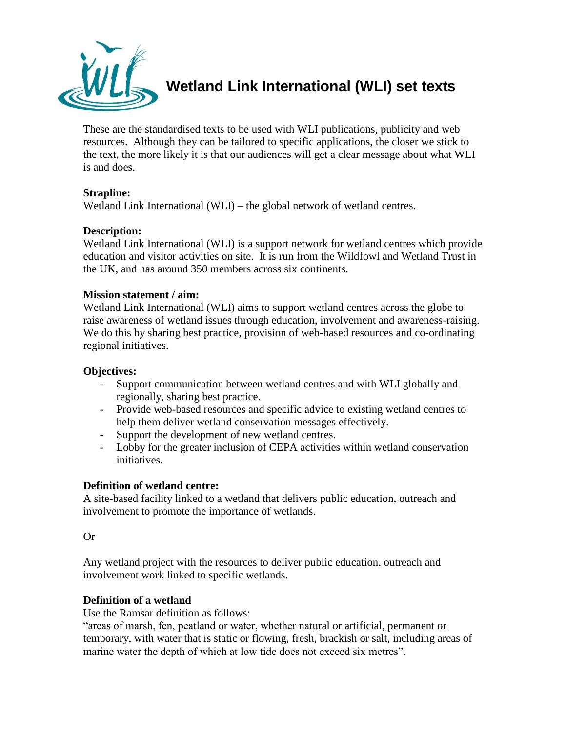

**Wetland Link International (WLI) set texts**

These are the standardised texts to be used with WLI publications, publicity and web resources. Although they can be tailored to specific applications, the closer we stick to the text, the more likely it is that our audiences will get a clear message about what WLI is and does.

# **Strapline:**

Wetland Link International (WLI) – the global network of wetland centres.

# **Description:**

Wetland Link International (WLI) is a support network for wetland centres which provide education and visitor activities on site. It is run from the Wildfowl and Wetland Trust in the UK, and has around 350 members across six continents.

### **Mission statement / aim:**

Wetland Link International (WLI) aims to support wetland centres across the globe to raise awareness of wetland issues through education, involvement and awareness-raising. We do this by sharing best practice, provision of web-based resources and co-ordinating regional initiatives.

### **Objectives:**

- Support communication between wetland centres and with WLI globally and regionally, sharing best practice.
- Provide web-based resources and specific advice to existing wetland centres to help them deliver wetland conservation messages effectively.
- Support the development of new wetland centres.
- Lobby for the greater inclusion of CEPA activities within wetland conservation initiatives.

### **Definition of wetland centre:**

A site-based facility linked to a wetland that delivers public education, outreach and involvement to promote the importance of wetlands.

Or

Any wetland project with the resources to deliver public education, outreach and involvement work linked to specific wetlands.

### **Definition of a wetland**

Use the Ramsar definition as follows:

"areas of marsh, fen, peatland or water, whether natural or artificial, permanent or temporary, with water that is static or flowing, fresh, brackish or salt, including areas of marine water the depth of which at low tide does not exceed six metres".